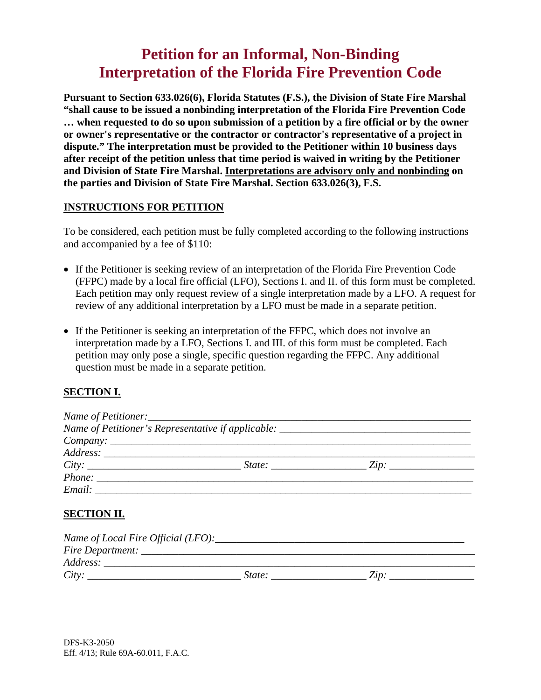# **Petition for an Informal, Non-Binding Interpretation of the Florida Fire Prevention Code**

**Pursuant to Section 633.026(6), Florida Statutes (F.S.), the Division of State Fire Marshal "shall cause to be issued a nonbinding interpretation of the Florida Fire Prevention Code … when requested to do so upon submission of a petition by a fire official or by the owner or owner's representative or the contractor or contractor's representative of a project in dispute." The interpretation must be provided to the Petitioner within 10 business days after receipt of the petition unless that time period is waived in writing by the Petitioner and Division of State Fire Marshal. Interpretations are advisory only and nonbinding on the parties and Division of State Fire Marshal. Section 633.026(3), F.S.** 

#### **INSTRUCTIONS FOR PETITION**

To be considered, each petition must be fully completed according to the following instructions and accompanied by a fee of \$110:

- If the Petitioner is seeking review of an interpretation of the Florida Fire Prevention Code (FFPC) made by a local fire official (LFO), Sections I. and II. of this form must be completed. Each petition may only request review of a single interpretation made by a LFO. A request for review of any additional interpretation by a LFO must be made in a separate petition.
- If the Petitioner is seeking an interpretation of the FFPC, which does not involve an interpretation made by a LFO, Sections I. and III. of this form must be completed. Each petition may only pose a single, specific question regarding the FFPC. Any additional question must be made in a separate petition.

## **SECTION I.**

|                                                                                                                                                                                                                                | $Company: \_$ |                                                    |  |
|--------------------------------------------------------------------------------------------------------------------------------------------------------------------------------------------------------------------------------|---------------|----------------------------------------------------|--|
|                                                                                                                                                                                                                                |               |                                                    |  |
| City:                                                                                                                                                                                                                          |               | $State:$ $\qquad \qquad \qquad \qquad \text{Zip:}$ |  |
|                                                                                                                                                                                                                                |               |                                                    |  |
| Email: The Communication of the Communication of the Communication of the Communication of the Communication of the Communication of the Communication of the Communication of the Communication of the Communication of the C |               |                                                    |  |
|                                                                                                                                                                                                                                |               |                                                    |  |

## **SECTION II.**

| Name of Local Fire Official (LFO): |        |             |  |
|------------------------------------|--------|-------------|--|
| Fire Department:                   |        |             |  |
| Address:                           |        |             |  |
| City:                              | State: | $\angle$ in |  |